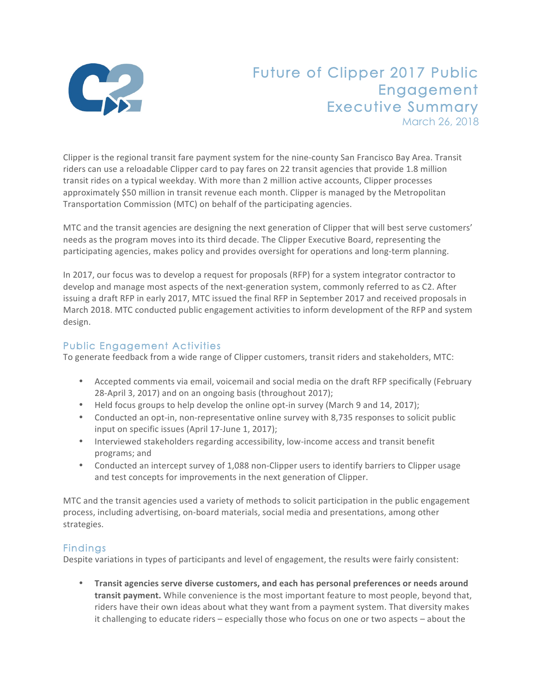

## Future of Clipper 2017 Public Engagement Executive Summary March 26, 2018

Clipper is the regional transit fare payment system for the nine-county San Francisco Bay Area. Transit riders can use a reloadable Clipper card to pay fares on 22 transit agencies that provide 1.8 million transit rides on a typical weekday. With more than 2 million active accounts, Clipper processes approximately \$50 million in transit revenue each month. Clipper is managed by the Metropolitan Transportation Commission (MTC) on behalf of the participating agencies.

MTC and the transit agencies are designing the next generation of Clipper that will best serve customers' needs as the program moves into its third decade. The Clipper Executive Board, representing the participating agencies, makes policy and provides oversight for operations and long-term planning.

In 2017, our focus was to develop a request for proposals (RFP) for a system integrator contractor to develop and manage most aspects of the next-generation system, commonly referred to as C2. After issuing a draft RFP in early 2017, MTC issued the final RFP in September 2017 and received proposals in March 2018. MTC conducted public engagement activities to inform development of the RFP and system design.

## Public Engagement Activities

To generate feedback from a wide range of Clipper customers, transit riders and stakeholders, MTC:

- Accepted comments via email, voicemail and social media on the draft RFP specifically (February 28-April 3, 2017) and on an ongoing basis (throughout 2017);
- Held focus groups to help develop the online opt-in survey (March 9 and 14, 2017);
- Conducted an opt-in, non-representative online survey with 8,735 responses to solicit public input on specific issues (April 17-June 1, 2017);
- Interviewed stakeholders regarding accessibility, low-income access and transit benefit programs; and
- Conducted an intercept survey of 1,088 non-Clipper users to identify barriers to Clipper usage and test concepts for improvements in the next generation of Clipper.

MTC and the transit agencies used a variety of methods to solicit participation in the public engagement process, including advertising, on-board materials, social media and presentations, among other strategies.

## Findings

Despite variations in types of participants and level of engagement, the results were fairly consistent:

Transit agencies serve diverse customers, and each has personal preferences or needs around **transit payment.** While convenience is the most important feature to most people, beyond that, riders have their own ideas about what they want from a payment system. That diversity makes it challenging to educate riders  $-$  especially those who focus on one or two aspects  $-$  about the